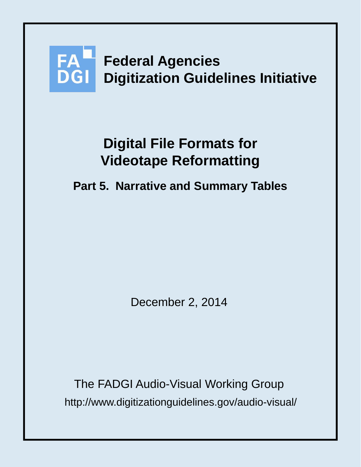

# **Digital File Formats for Videotape Reformatting**

## **Part 5. Narrative and Summary Tables**

December 2, 2014

http://www.digitizationguidelines.gov/audio-visual/ The FADGI Audio-Visual Working Group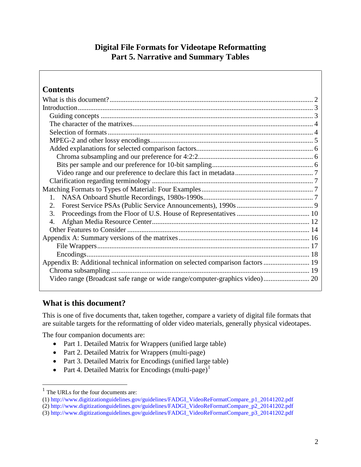## **Digital File Formats for Videotape Reformatting Part 5. Narrative and Summary Tables**

| <b>Contents</b>                                                                 |  |
|---------------------------------------------------------------------------------|--|
|                                                                                 |  |
|                                                                                 |  |
|                                                                                 |  |
|                                                                                 |  |
|                                                                                 |  |
|                                                                                 |  |
|                                                                                 |  |
|                                                                                 |  |
|                                                                                 |  |
|                                                                                 |  |
|                                                                                 |  |
|                                                                                 |  |
| $1_{-}$                                                                         |  |
| 2.                                                                              |  |
| 3.                                                                              |  |
| 4.                                                                              |  |
|                                                                                 |  |
|                                                                                 |  |
|                                                                                 |  |
|                                                                                 |  |
| Appendix B: Additional technical information on selected comparison factors  19 |  |
|                                                                                 |  |
|                                                                                 |  |
|                                                                                 |  |

## <span id="page-1-0"></span>**What is this document?**

This is one of five documents that, taken together, compare a variety of digital file formats that are suitable targets for the reformatting of older video materials, generally physical videotapes.

The four companion documents are:

- Part 1. Detailed Matrix for Wrappers (unified large table)
- Part 2. Detailed Matrix for Wrappers (multi-page)
- Part 3. Detailed Matrix for Encodings (unified large table)
- Part 4. Detailed Matrix for Encodings (multi-page)<sup>[1](#page-1-1)</sup>

<span id="page-1-1"></span> $<sup>1</sup>$  The URLs for the four documents are:</sup>

<sup>(1)</sup> http://www.digitizationguidelines.gov/guidelines/FADGI\_VideoReFormatCompare\_p1\_20141202.pdf

<sup>(2)</sup> http://www.digitizationguidelines.gov/guidelines/FADGI\_VideoReFormatCompare\_p2\_20141202.pdf

<sup>(3)</sup> http://www.digitizationguidelines.gov/guidelines/FADGI\_VideoReFormatCompare\_p3\_20141202.pdf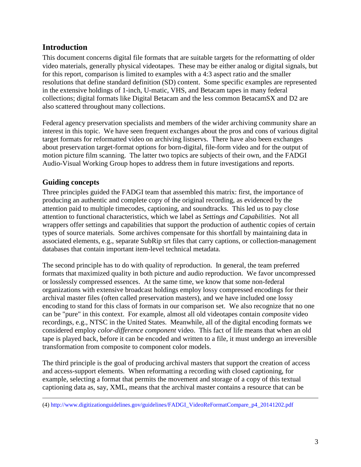## <span id="page-2-0"></span>**Introduction**

This document concerns digital file formats that are suitable targets for the reformatting of older video materials, generally physical videotapes. These may be either analog or digital signals, but for this report, comparison is limited to examples with a 4:3 aspect ratio and the smaller resolutions that define standard definition (SD) content. Some specific examples are represented in the extensive holdings of 1-inch, U-matic, VHS, and Betacam tapes in many federal collections; digital formats like Digital Betacam and the less common BetacamSX and D2 are also scattered throughout many collections.

Federal agency preservation specialists and members of the wider archiving community share an interest in this topic. We have seen frequent exchanges about the pros and cons of various digital target formats for reformatted video on archiving listservs. There have also been exchanges about preservation target-format options for born-digital, file-form video and for the output of motion picture film scanning. The latter two topics are subjects of their own, and the FADGI Audio-Visual Working Group hopes to address them in future investigations and reports.

## <span id="page-2-1"></span>**Guiding concepts**

 $\overline{a}$ 

Three principles guided the FADGI team that assembled this matrix: first, the importance of producing an authentic and complete copy of the original recording, as evidenced by the attention paid to multiple timecodes, captioning, and soundtracks. This led us to pay close attention to functional characteristics, which we label as *Settings and Capabilities*. Not all wrappers offer settings and capabilities that support the production of authentic copies of certain types of source materials. Some archives compensate for this shortfall by maintaining data in associated elements, e.g., separate SubRip srt files that carry captions, or collection-management databases that contain important item-level technical metadata.

The second principle has to do with quality of reproduction. In general, the team preferred formats that maximized quality in both picture and audio reproduction. We favor uncompressed or losslessly compressed essences. At the same time, we know that some non-federal organizations with extensive broadcast holdings employ lossy compressed encodings for their archival master files (often called preservation masters), and we have included one lossy encoding to stand for this class of formats in our comparison set. We also recognize that no one can be "pure" in this context. For example, almost all old videotapes contain *composite* video recordings, e.g., NTSC in the United States. Meanwhile, all of the digital encoding formats we considered employ *color-difference component* video. This fact of life means that when an old tape is played back, before it can be encoded and written to a file, it must undergo an irreversible transformation from composite to component color models.

The third principle is the goal of producing archival masters that support the creation of access and access-support elements. When reformatting a recording with closed captioning, for example, selecting a format that permits the movement and storage of a copy of this textual captioning data as, say, XML, means that the archival master contains a resource that can be

<sup>(4)</sup> http://www.digitizationguidelines.gov/guidelines/FADGI\_VideoReFormatCompare\_p4\_20141202.pdf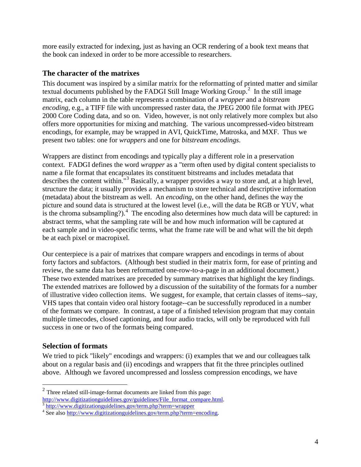more easily extracted for indexing, just as having an OCR rendering of a book text means that the book can indexed in order to be more accessible to researchers.

## <span id="page-3-0"></span>**The character of the matrixes**

This document was inspired by a similar matrix for the reformatting of printed matter and similar textual documents published by the FADGI Still Image Working Group.<sup>[2](#page-3-2)</sup> In the still image matrix, each column in the table represents a combination of a *wrapper* and a *bitstream encoding*, e.g., a TIFF file with uncompressed raster data, the JPEG 2000 file format with JPEG 2000 Core Coding data, and so on. Video, however, is not only relatively more complex but also offers more opportunities for mixing and matching. The various uncompressed-video bitstream encodings, for example, may be wrapped in AVI, QuickTime, Matroska, and MXF. Thus we present two tables: one for *wrappers* and one for *bitstream encodings*.

Wrappers are distinct from encodings and typically play a different role in a preservation context. FADGI defines the word *wrapper* as a "term often used by digital content specialists to name a file format that encapsulates its constituent bitstreams and includes metadata that describes the content within."<sup>[3](#page-3-3)</sup> Basically, a wrapper provides a way to store and, at a high level, structure the data; it usually provides a mechanism to store technical and descriptive information (metadata) about the bitstream as well. An *encoding*, on the other hand, defines the way the picture and sound data is structured at the lowest level (i.e., will the data be RGB or YUV, what is the chroma subsampling?).<sup>[4](#page-3-4)</sup> The encoding also determines how much data will be captured: in abstract terms, what the sampling rate will be and how much information will be captured at each sample and in video-specific terms, what the frame rate will be and what will the bit depth be at each pixel or macropixel.

Our centerpiece is a pair of matrixes that compare wrappers and encodings in terms of about forty factors and subfactors. (Although best studied in their matrix form, for ease of printing and review, the same data has been reformatted one-row-to-a-page in an additional document.) These two extended matrixes are preceded by summary matrixes that highlight the key findings. The extended matrixes are followed by a discussion of the suitability of the formats for a number of illustrative video collection items. We suggest, for example, that certain classes of items--say, VHS tapes that contain video oral history footage--can be successfully reproduced in a number of the formats we compare. In contrast, a tape of a finished television program that may contain multiple timecodes, closed captioning, and four audio tracks, will only be reproduced with full success in one or two of the formats being compared.

## <span id="page-3-1"></span>**Selection of formats**

 $\overline{a}$ 

We tried to pick "likely" encodings and wrappers: (i) examples that we and our colleagues talk about on a regular basis and (ii) encodings and wrappers that fit the three principles outlined above. Although we favored uncompressed and lossless compression encodings, we have

<span id="page-3-2"></span> $2$  Three related still-image-format documents are linked from this page: [http://www.digitizationguidelines.gov/guidelines/File\\_format\\_compare.html. 3](http://www.digitizationguidelines.gov/guidelines/File_format_compare.html) <http://www.digitizationguidelines.gov/term.php?term=wrapper>

<span id="page-3-4"></span><span id="page-3-3"></span><sup>&</sup>lt;sup>4</sup> See also [http://www.digitizationguidelines.gov/term.php?term=encoding.](http://www.digitizationguidelines.gov/term.php?term=encoding)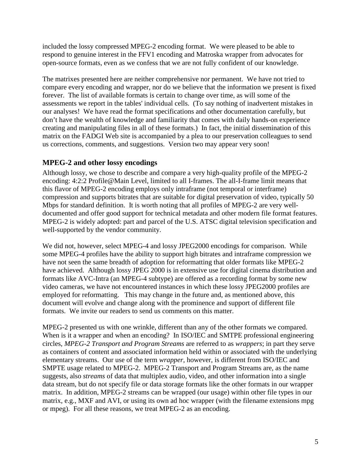included the lossy compressed MPEG-2 encoding format. We were pleased to be able to respond to genuine interest in the FFV1 encoding and Matroska wrapper from advocates for open-source formats, even as we confess that we are not fully confident of our knowledge.

The matrixes presented here are neither comprehensive nor permanent. We have not tried to compare every encoding and wrapper, nor do we believe that the information we present is fixed forever. The list of available formats is certain to change over time, as will some of the assessments we report in the tables' individual cells. (To say nothing of inadvertent mistakes in our analyses! We have read the format specifications and other documentation carefully, but don't have the wealth of knowledge and familiarity that comes with daily hands-on experience creating and manipulating files in all of these formats.) In fact, the initial dissemination of this matrix on the FADGI Web site is accompanied by a plea to our preservation colleagues to send us corrections, comments, and suggestions. Version two may appear very soon!

## <span id="page-4-0"></span>**MPEG-2 and other lossy encodings**

Although lossy, we chose to describe and compare a very high-quality profile of the [MPEG-2](http://www.digitalpreservation.gov/formats/fdd/fdd000364.shtml) [encoding: 4:2:2 Profile@Main Level,](http://www.digitalpreservation.gov/formats/fdd/fdd000364.shtml) limited to all I-frames. The all-I-frame limit means that this flavor of MPEG-2 encoding employs only intraframe (not temporal or interframe) compression and supports bitrates that are suitable for digital preservation of video, typically 50 Mbps for standard definition. It is worth noting that all profiles of MPEG-2 are very welldocumented and offer good support for technical metadata and other modern file format features. MPEG-2 is widely adopted: part and parcel of the U.S. ATSC digital television specification and well-supported by the vendor community.

We did not, however, select MPEG-4 and lossy JPEG2000 encodings for comparison. While some MPEG-4 profiles have the ability to support high bitrates and intraframe compression we have not seen the same breadth of adoption for reformatting that older formats like MPEG-2 have achieved. Although lossy JPEG 2000 is in extensive use for digital cinema distribution and formats like AVC-Intra (an MPEG-4 subtype) are offered as a recording format by some new video cameras, we have not encountered instances in which these lossy JPEG2000 profiles are employed for reformatting. This may change in the future and, as mentioned above, this document will evolve and change along with the prominence and support of different file formats. We invite our readers to send us comments on this matter.

MPEG-2 presented us with one wrinkle, different than any of the other formats we compared. When is it a wrapper and when an encoding? In ISO/IEC and SMTPE professional engineering circles, *MPEG-2 Transport and Program Streams* are referred to as *wrappers*; in part they serve as containers of content and associated information held within or associated with the underlying elementary streams. Our use of the term *wrapper*, however, is different from ISO/IEC and SMPTE usage related to MPEG-2. MPEG-2 Transport and Program Streams are, as the name suggests, also *streams* of data that multiplex audio, video, and other information into a single data stream, but do not specify file or data storage formats like the other formats in our wrapper matrix. In addition, MPEG-2 streams can be wrapped (our usage) within other file types in our matrix, e.g., MXF and AVI, or using its own ad hoc wrapper (with the filename extensions mpg or mpeg). For all these reasons, we treat MPEG-2 as an encoding.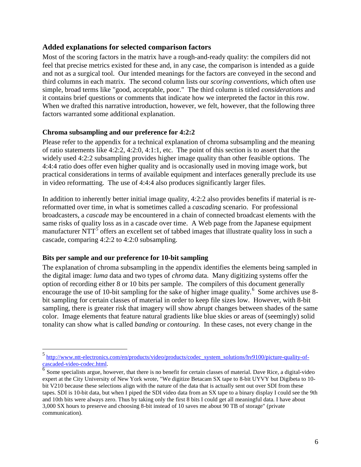#### <span id="page-5-0"></span>**Added explanations for selected comparison factors**

Most of the scoring factors in the matrix have a rough-and-ready quality: the compilers did not feel that precise metrics existed for these and, in any case, the comparison is intended as a guide and not as a surgical tool. Our intended meanings for the factors are conveyed in the second and third columns in each matrix. The second column lists our *scoring conventions*, which often use simple, broad terms like "good, acceptable, poor." The third column is titled *considerations* and it contains brief questions or comments that indicate how we interpreted the factor in this row. When we drafted this narrative introduction, however, we felt, however, that the following three factors warranted some additional explanation.

#### <span id="page-5-1"></span>**Chroma subsampling and our preference for 4:2:2**

Please refer to the appendix for a technical explanation of chroma subsampling and the meaning of ratio statements like 4:2:2, 4:2:0, 4:1:1, etc. The point of this section is to assert that the widely used 4:2:2 subsampling provides higher image quality than other feasible options. The 4:4:4 ratio does offer even higher quality and is occasionally used in moving image work, but practical considerations in terms of available equipment and interfaces generally preclude its use in video reformatting. The use of 4:4:4 also produces significantly larger files.

In addition to inherently better initial image quality, 4:2:2 also provides benefits if material is rereformatted over time, in what is sometimes called a *cascading* scenario. For professional broadcasters, a *cascade* may be encountered in a chain of connected broadcast elements with the same risks of quality loss as in a cascade over time. A Web page from the Japanese equipment manufacturer  $NTT<sup>5</sup>$  $NTT<sup>5</sup>$  $NTT<sup>5</sup>$  offers an excellent set of tabbed images that illustrate quality loss in such a cascade, comparing 4:2:2 to 4:2:0 subsampling.

#### <span id="page-5-2"></span>**Bits per sample and our preference for 10-bit sampling**

 $\overline{a}$ 

The explanation of chroma subsampling in the appendix identifies the elements being sampled in the digital image: *luma* data and two types of *chroma* data. Many digitizing systems offer the option of recording either 8 or 10 bits per sample. The compilers of this document generally encourage the use of 10-bit sampling for the sake of higher image quality.<sup>[6](#page-5-4)</sup> Some archives use 8bit sampling for certain classes of material in order to keep file sizes low. However, with 8-bit sampling, there is greater risk that imagery will show abrupt changes between shades of the same color. Image elements that feature natural gradients like blue skies or areas of (seemingly) solid tonality can show what is called *banding* or *contouring*. In these cases, not every change in the

<sup>&</sup>lt;sup>5</sup> [http://www.ntt-electronics.com/en/products/video/products/codec\\_system\\_solutions/hv9100/picture-quality-of-](http://www.ntt-electronics.com/en/products/video/products/codec_system_solutions/hv9100/picture-quality-of-cascaded-video-codec.html)

<span id="page-5-4"></span><span id="page-5-3"></span> $\frac{\text{cascaded-video-codec.html}}{6}$  $\frac{\text{cascaded-video-codec.html}}{6}$  $\frac{\text{cascaded-video-codec.html}}{6}$  Some specialists argue, however, that there is no benefit for certain classes of material. Dave Rice, a digital-video expert at the City University of New York wrote, "We digitize Betacam SX tape to 8-bit UYVY but Digibeta to 10 bit V210 because these selections align with the nature of the data that is actually sent out over SDI from these tapes. SDI is 10-bit data, but when I piped the SDI video data from an SX tape to a binary display I could see the 9th and 10th bits were always zero. Thus by taking only the first 8 bits I could get all meaningful data. I have about 3,000 SX hours to preserve and choosing 8-bit instead of 10 saves me about 90 TB of storage" (private communication).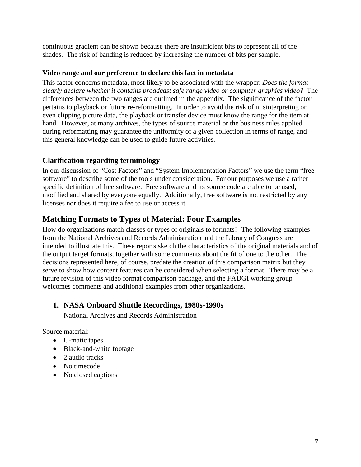continuous gradient can be shown because there are insufficient bits to represent all of the shades. The risk of banding is reduced by increasing the number of bits per sample.

#### <span id="page-6-0"></span>**Video range and our preference to declare this fact in metadata**

This factor concerns metadata, most likely to be associated with the wrapper: *Does the format clearly declare whether it contains broadcast safe range video or computer graphics video?* The differences between the two ranges are outlined in the appendix. The significance of the factor pertains to playback or future re-reformatting. In order to avoid the risk of misinterpreting or even clipping picture data, the playback or transfer device must know the range for the item at hand. However, at many archives, the types of source material or the business rules applied during reformatting may guarantee the uniformity of a given collection in terms of range, and this general knowledge can be used to guide future activities.

## <span id="page-6-1"></span>**Clarification regarding terminology**

In our discussion of "Cost Factors" and "System Implementation Factors" we use the term "free software" to describe some of the tools under consideration. For our purposes we use a rather specific definition of free software: Free software and its source code are able to be used, modified and shared by everyone equally. Additionally, free software is not restricted by any licenses nor does it require a fee to use or access it.

## <span id="page-6-2"></span>**Matching Formats to Types of Material: Four Examples**

How do organizations match classes or types of originals to formats? The following examples from the National Archives and Records Administration and the Library of Congress are intended to illustrate this. These reports sketch the characteristics of the original materials and of the output target formats, together with some comments about the fit of one to the other. The decisions represented here, of course, predate the creation of this comparison matrix but they serve to show how content features can be considered when selecting a format. There may be a future revision of this video format comparison package, and the FADGI working group welcomes comments and additional examples from other organizations.

#### <span id="page-6-3"></span>**1. NASA Onboard Shuttle Recordings, 1980s-1990s**

National Archives and Records Administration

Source material:

- U-matic tapes
- Black-and-white footage
- 2 audio tracks
- No timecode
- No closed captions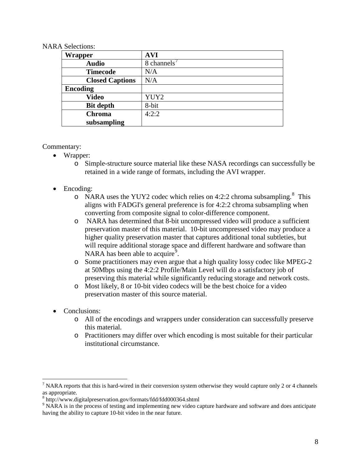#### NARA Selections:

| Wrapper                | <b>AVI</b>  |
|------------------------|-------------|
| <b>Audio</b>           | 8 channels' |
| <b>Timecode</b>        | N/A         |
| <b>Closed Captions</b> | N/A         |
| <b>Encoding</b>        |             |
| <b>Video</b>           | YUY2        |
| <b>Bit depth</b>       | 8-bit       |
| <b>Chroma</b>          | 4:2:2       |
| subsampling            |             |

#### Commentary:

- Wrapper:
	- o Simple-structure source material like these NASA recordings can successfully be retained in a wide range of formats, including the AVI wrapper.
- Encoding:
	- o NARA uses the YUY2 codec which relies on 4:2:2 chroma subsampling.<sup>[8](#page-7-1)</sup> This aligns with FADGI's general preference is for 4:2:2 chroma subsampling when converting from composite signal to color-difference component.
	- o NARA has determined that 8-bit uncompressed video will produce a sufficient preservation master of this material. 10-bit uncompressed video may produce a higher quality preservation master that captures additional tonal subtleties, but will require additional storage space and different hardware and software than NARA has been able to acquire<sup>[9](#page-7-2)</sup>.
	- o Some practitioners may even argue that a high quality lossy codec like MPEG-2 at 50Mbps using the 4:2:2 Profile/Main Level will do a satisfactory job of preserving this material while significantly reducing storage and network costs.
	- o Most likely, 8 or 10-bit video codecs will be the best choice for a video preservation master of this source material.
- Conclusions:

- o All of the encodings and wrappers under consideration can successfully preserve this material.
- o Practitioners may differ over which encoding is most suitable for their particular institutional circumstance.

<span id="page-7-0"></span><sup>&</sup>lt;sup>7</sup> NARA reports that this is hard-wired in their conversion system otherwise they would capture only 2 or 4 channels as appropriate.<br><sup>8</sup> http://www.digitalpreservation.gov/formats/fdd/fdd000364.shtml

<span id="page-7-1"></span>

<span id="page-7-2"></span><sup>&</sup>lt;sup>9</sup> NARA is in the process of testing and implementing new video capture hardware and software and does anticipate having the ability to capture 10-bit video in the near future.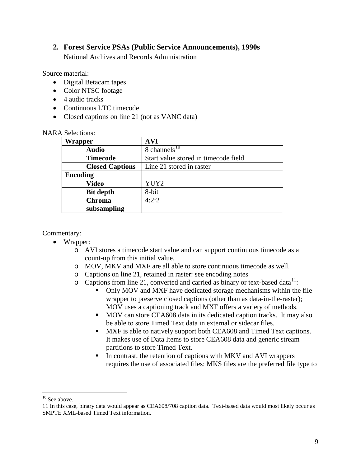#### <span id="page-8-0"></span>**2. Forest Service PSAs (Public Service Announcements), 1990s**

National Archives and Records Administration

Source material:

- Digital Betacam tapes
- Color NTSC footage
- 4 audio tracks
- Continuous LTC timecode
- Closed captions on line 21 (not as VANC data)

| т репециир.            |                                      |
|------------------------|--------------------------------------|
| <b>Wrapper</b>         | <b>AVI</b>                           |
| <b>Audio</b>           | 8 channels $^{10}$                   |
| <b>Timecode</b>        | Start value stored in timecode field |
| <b>Closed Captions</b> | Line 21 stored in raster             |
| <b>Encoding</b>        |                                      |
| <b>Video</b>           | YUY2                                 |
| <b>Bit depth</b>       | 8-bit                                |
| <b>Chroma</b>          | 4:2:2                                |
| subsampling            |                                      |

#### NARA Selections:

#### Commentary:

- Wrapper:
	- o AVI stores a timecode start value and can support continuous timecode as a count-up from this initial value.
	- o MOV, MKV and MXF are all able to store continuous timecode as well.
	- o Captions on line 21, retained in raster: see encoding notes
	- $\circ$  Captions from line 21, converted and carried as binary or text-based data<sup>[11](#page-8-2)</sup>:
		- Only MOV and MXF have dedicated storage mechanisms within the file wrapper to preserve closed captions (other than as data-in-the-raster); MOV uses a captioning track and MXF offers a variety of methods.
		- **MOV** can store CEA608 data in its dedicated caption tracks. It may also be able to store Timed Text data in external or sidecar files.
		- **MXF** is able to natively support both CEA608 and Timed Text captions. It makes use of Data Items to store CEA608 data and generic stream partitions to store Timed Text.
		- In contrast, the retention of captions with MKV and AVI wrappers requires the use of associated files: MKS files are the preferred file type to

 $10$  See above.  $\overline{a}$ 

<span id="page-8-2"></span><span id="page-8-1"></span><sup>11</sup> In this case, binary data would appear as CEA608/708 caption data. Text-based data would most likely occur as SMPTE XML-based Timed Text information.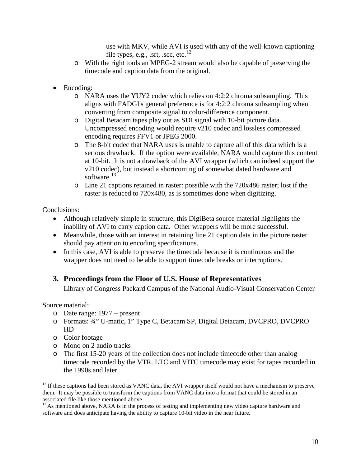use with MKV, while AVI is used with any of the well-known captioning file types, e.g., .srt, .scc, etc. $^{12}$  $^{12}$  $^{12}$ 

- o With the right tools an MPEG-2 stream would also be capable of preserving the timecode and caption data from the original.
- Encoding:
	- o NARA uses the YUY2 codec which relies on 4:2:2 chroma subsampling. This aligns with FADGI's general preference is for 4:2:2 chroma subsampling when converting from composite signal to color-difference component.
	- o Digital Betacam tapes play out as SDI signal with 10-bit picture data. Uncompressed encoding would require v210 codec and lossless compressed encoding requires FFV1 or JPEG 2000.
	- o The 8-bit codec that NARA uses is unable to capture all of this data which is a serious drawback. If the option were available, NARA would capture this content at 10-bit. It is not a drawback of the AVI wrapper (which can indeed support the v210 codec), but instead a shortcoming of somewhat dated hardware and software. $13$
	- o Line 21 captions retained in raster: possible with the 720x486 raster; lost if the raster is reduced to 720x480, as is sometimes done when digitizing.

Conclusions:

- Although relatively simple in structure, this DigiBeta source material highlights the inability of AVI to carry caption data. Other wrappers will be more successful.
- Meanwhile, those with an interest in retaining line 21 caption data in the picture raster should pay attention to encoding specifications.
- In this case, AVI is able to preserve the timecode because it is continuous and the wrapper does not need to be able to support timecode breaks or interruptions.

## <span id="page-9-0"></span>**3. Proceedings from the Floor of U.S. House of Representatives**

Library of Congress Packard Campus of the National Audio-Visual Conservation Center

Source material:

- o Date range: 1977 present
- o Formats: ¾" U-matic, 1" Type C, Betacam SP, Digital Betacam, DVCPRO, DVCPRO HD
- o Color footage
- o Mono on 2 audio tracks
- o The first 15-20 years of the collection does not include timecode other than analog timecode recorded by the VTR. LTC and VITC timecode may exist for tapes recorded in the 1990s and later.

<span id="page-9-1"></span> $12$  If these captions had been stored as VANC data, the AVI wrapper itself would not have a mechanism to preserve them. It may be possible to transform the captions from VANC data into a format that could be stored in an associated file like those mentioned above.

<span id="page-9-2"></span> $13$  As mentioned above, NARA is in the process of testing and implementing new video capture hardware and software and does anticipate having the ability to capture 10-bit video in the near future.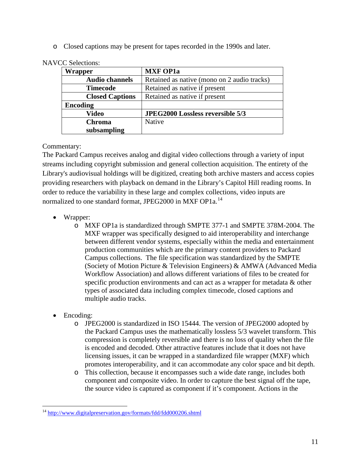o Closed captions may be present for tapes recorded in the 1990s and later.

| <b>Wrapper</b>         | <b>MXF OP1a</b>                             |
|------------------------|---------------------------------------------|
| <b>Audio channels</b>  | Retained as native (mono on 2 audio tracks) |
| <b>Timecode</b>        | Retained as native if present               |
| <b>Closed Captions</b> | Retained as native if present               |
| <b>Encoding</b>        |                                             |
| Video                  | <b>JPEG2000 Lossless reversible 5/3</b>     |
| <b>Chroma</b>          | Native                                      |
| subsampling            |                                             |

NAVCC Selections:

Commentary:

The Packard Campus receives analog and digital video collections through a variety of input streams including copyright submission and general collection acquisition. The entirety of the Library's audiovisual holdings will be digitized, creating both archive masters and access copies providing researchers with playback on demand in the Library's Capitol Hill reading rooms. In order to reduce the variability in these large and complex collections, video inputs are normalized to one standard format, JPEG2000 in MXF OP1a.<sup>[14](#page-10-0)</sup>

- Wrapper:
	- o MXF OP1a is standardized through SMPTE 377-1 and SMPTE 378M-2004. The MXF wrapper was specifically designed to aid interoperability and interchange between different vendor systems, especially within the media and entertainment production communities which are the primary content providers to Packard Campus collections. The file specification was standardized by the SMPTE (Society of Motion Picture & Television Engineers) & AMWA (Advanced Media Workflow Association) and allows different variations of files to be created for specific production environments and can act as a wrapper for metadata & other types of associated data including complex timecode, closed captions and multiple audio tracks.
- Encoding:
	- o JPEG2000 is standardized in ISO 15444. The version of JPEG2000 adopted by the Packard Campus uses the mathematically lossless 5/3 wavelet transform. This compression is completely reversible and there is no loss of quality when the file is encoded and decoded. Other attractive features include that it does not have licensing issues, it can be wrapped in a standardized file wrapper (MXF) which promotes interoperability, and it can accommodate any color space and bit depth.
	- o This collection, because it encompasses such a wide date range, includes both component and composite video. In order to capture the best signal off the tape, the source video is captured as component if it's component. Actions in the

<span id="page-10-0"></span><sup>&</sup>lt;sup>14</sup> <http://www.digitalpreservation.gov/formats/fdd/fdd000206.shtml>  $\overline{a}$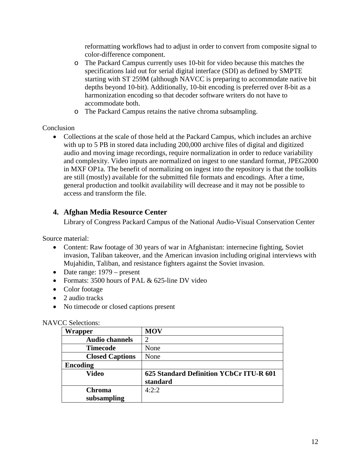reformatting workflows had to adjust in order to convert from composite signal to color-difference component.

- o The Packard Campus currently uses 10-bit for video because this matches the specifications laid out for serial digital interface (SDI) as defined by SMPTE starting with ST 259M (although NAVCC is preparing to accommodate native bit depths beyond 10-bit). Additionally, 10-bit encoding is preferred over 8-bit as a harmonization encoding so that decoder software writers do not have to accommodate both.
- o The Packard Campus retains the native chroma subsampling.

## **Conclusion**

• Collections at the scale of those held at the Packard Campus, which includes an archive with up to 5 PB in stored data including 200,000 archive files of digital and digitized audio and moving image recordings, require normalization in order to reduce variability and complexity. Video inputs are normalized on ingest to one standard format, JPEG2000 in MXF OP1a. The benefit of normalizing on ingest into the repository is that the toolkits are still (mostly) available for the submitted file formats and encodings. After a time, general production and toolkit availability will decrease and it may not be possible to access and transform the file.

## <span id="page-11-0"></span>**4. Afghan Media Resource Center**

Library of Congress Packard Campus of the National Audio-Visual Conservation Center

Source material:

- Content: Raw footage of 30 years of war in Afghanistan: internecine fighting, Soviet invasion, Taliban takeover, and the American invasion including original interviews with Mujahidin, Taliban, and resistance fighters against the Soviet invasion.
- Date range: 1979 present
- Formats: 3500 hours of PAL & 625-line DV video
- Color footage
- 2 audio tracks
- No timecode or closed captions present

#### NAVCC Selections:

| <b>Wrapper</b>               | <b>MOV</b>                                          |
|------------------------------|-----------------------------------------------------|
| <b>Audio channels</b>        |                                                     |
| <b>Timecode</b>              | None                                                |
| <b>Closed Captions</b>       | None                                                |
| <b>Encoding</b>              |                                                     |
| <b>Video</b>                 | 625 Standard Definition YCbCr ITU-R 601<br>standard |
| <b>Chroma</b><br>subsampling | 4:2:2                                               |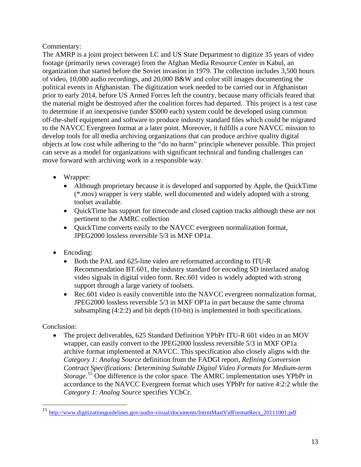## Commentary:

The AMRP is a joint project between LC and US State Department to digitize 35 years of video footage (primarily news coverage) from the Afghan Media Resource Center in Kabul, an organization that started before the Soviet invasion in 1979. The collection includes 3,500 hours of video, 10,000 audio recordings, and 20,000 B&W and color still images documenting the political events in Afghanistan. The digitization work needed to be carried out in Afghanistan prior to early 2014, before US Armed Forces left the country, because many officials feared that the material might be destroyed after the coalition forces had departed. This project is a test case to determine if an inexpensive (under \$5000 each) system could be developed using common off-the-shelf equipment and software to produce industry standard files which could be migrated to the NAVCC Evergreen format at a later point. Moreover, it fulfills a core NAVCC mission to develop tools for all media archiving organizations that can produce archive quality digital objects at low cost while adhering to the "do no harm" principle whenever possible. This project can serve as a model for organizations with significant technical and funding challenges can move forward with archiving work in a responsible way.

- Wrapper:
	- Although proprietary because it is developed and supported by Apple, the QuickTime (\*.mov) wrapper is very stable, well documented and widely adopted with a strong toolset available.
	- QuickTime has support for timecode and closed caption tracks although these are not pertinent to the AMRC collection
	- QuickTime converts easily to the NAVCC evergreen normalization format, JPEG2000 lossless reversible 5/3 in MXF OP1a.
- Encoding:
	- Both the PAL and 625-line video are reformatted according to [ITU-R](http://en.wikipedia.org/wiki/ITU-R) Recommendation BT.601, the industry standard for encoding SD [interlaced](http://en.wikipedia.org/wiki/Interlaced) [analog](http://en.wikipedia.org/wiki/Analog_video)  [video](http://en.wikipedia.org/wiki/Analog_video) signals in [digital video](http://en.wikipedia.org/wiki/Digital_video) form. Rec.601 video is widely adopted with strong support through a large variety of toolsets.
	- Rec.601 video is easily convertible into the NAVCC evergreen normalization format, JPEG2000 lossless reversible 5/3 in MXF OP1a in part because the same chroma subsampling (4:2:2) and bit depth (10-bit) is implemented in both specifications.

## Conclusion:

 $\overline{a}$ 

• The project deliverables, 625 Standard Definition YPbPr ITU-R 601 video in an MOV wrapper, can easily convert to the JPEG2000 lossless reversible 5/3 in MXF OP1a archive format implemented at NAVCC. This specification also closely aligns with the *Category 1: Analog Source* definition from the FADGI report, *Refining Conversion Contract Specifications: Determining Suitable Digital Video Formats for Medium-term Storage*. [15](#page-12-0) One difference is the color space. The AMRC implementation uses YPbPr in accordance to the NAVCC Evergreen format which uses YPbPr for native 4:2:2 while the *Category 1: Analog Source* specifies YCbCr.

<span id="page-12-0"></span><sup>&</sup>lt;sup>15</sup> [http://www.digitizationguidelines.gov/audio-visual/documents/IntrmMastVidFormatRecs\\_20111001.pdf](http://www.digitizationguidelines.gov/audio-visual/documents/IntrmMastVidFormatRecs_20111001.pdf)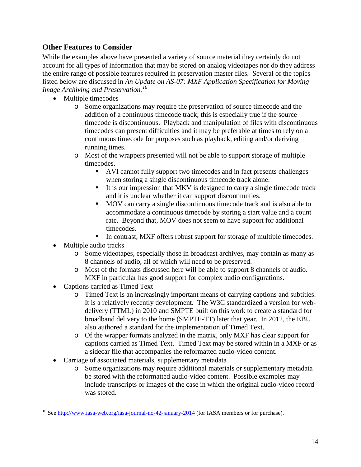## <span id="page-13-0"></span>**Other Features to Consider**

While the examples above have presented a variety of source material they certainly do not account for all types of information that may be stored on analog videotapes nor do they address the entire range of possible features required in preservation master files. Several of the topics listed below are discussed in *An Update on AS-07: MXF Application Specification for Moving Image Archiving and Preservation. [16](#page-13-1)*

- Multiple timecodes
	- o Some organizations may require the preservation of source timecode and the addition of a continuous timecode track; this is especially true if the source timecode is discontinuous. Playback and manipulation of files with discontinuous timecodes can present difficulties and it may be preferable at times to rely on a continuous timecode for purposes such as playback, editing and/or deriving running times.
	- o Most of the wrappers presented will not be able to support storage of multiple timecodes.
		- AVI cannot fully support two timecodes and in fact presents challenges when storing a single discontinuous timecode track alone.
		- It is our impression that MKV is designed to carry a single timecode track and it is unclear whether it can support discontinuities.
		- MOV can carry a single discontinuous timecode track and is also able to accommodate a continuous timecode by storing a start value and a count rate. Beyond that, MOV does not seem to have support for additional timecodes.
		- In contrast, MXF offers robust support for storage of multiple timecodes.
- Multiple audio tracks
	- o Some videotapes, especially those in broadcast archives, may contain as many as 8 channels of audio, all of which will need to be preserved.
	- o Most of the formats discussed here will be able to support 8 channels of audio. MXF in particular has good support for complex audio configurations.
- Captions carried as Timed Text
	- o Timed Text is an increasingly important means of carrying captions and subtitles. It is a relatively recently development. The W3C standardized a version for webdelivery (TTML) in 2010 and SMPTE built on this work to create a standard for broadband delivery to the home (SMPTE-TT) later that year. In 2012, the EBU also authored a standard for the implementation of Timed Text.
	- o Of the wrapper formats analyzed in the matrix, only MXF has clear support for captions carried as Timed Text. Timed Text may be stored within in a MXF or as a sidecar file that accompanies the reformatted audio-video content.
- Carriage of associated materials, supplementary metadata
	- o Some organizations may require additional materials or supplementary metadata be stored with the reformatted audio-video content. Possible examples may include transcripts or images of the case in which the original audio-video record was stored.

<span id="page-13-1"></span><sup>&</sup>lt;sup>16</sup> See<http://www.iasa-web.org/iasa-journal-no-42-january-2014> (for IASA members or for purchase).  $\overline{a}$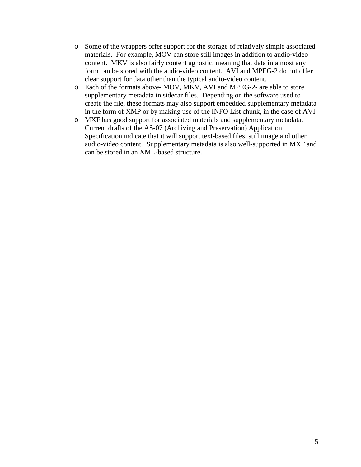- o Some of the wrappers offer support for the storage of relatively simple associated materials. For example, MOV can store still images in addition to audio-video content. MKV is also fairly content agnostic, meaning that data in almost any form can be stored with the audio-video content. AVI and MPEG-2 do not offer clear support for data other than the typical audio-video content.
- o Each of the formats above- MOV, MKV, AVI and MPEG-2- are able to store supplementary metadata in sidecar files. Depending on the software used to create the file, these formats may also support embedded supplementary metadata in the form of XMP or by making use of the INFO List chunk, in the case of AVI.
- o MXF has good support for associated materials and supplementary metadata. Current drafts of the AS-07 (Archiving and Preservation) Application Specification indicate that it will support text-based files, still image and other audio-video content. Supplementary metadata is also well-supported in MXF and can be stored in an XML-based structure.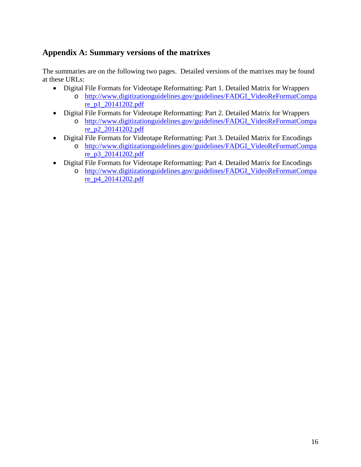## <span id="page-15-0"></span>**Appendix A: Summary versions of the matrixes**

The summaries are on the following two pages. Detailed versions of the matrixes may be found at these URLs:

- Digital File Formats for Videotape Reformatting: Part 1. Detailed Matrix for Wrappers
	- o [http://www.digitizationguidelines.gov/guidelines/FADGI\\_VideoReFormatCompa](http://www.digitizationguidelines.gov/guidelines/FADGI_VideoReFormatCompare_p1_20141202.pdf) [re\\_p1\\_20141202.pdf](http://www.digitizationguidelines.gov/guidelines/FADGI_VideoReFormatCompare_p1_20141202.pdf)
- Digital File Formats for Videotape Reformatting: Part 2. Detailed Matrix for Wrappers
	- o [http://www.digitizationguidelines.gov/guidelines/FADGI\\_VideoReFormatCompa](http://www.digitizationguidelines.gov/guidelines/FADGI_VideoReFormatCompare_p2_20141202.pdf) [re\\_p2\\_20141202.pdf](http://www.digitizationguidelines.gov/guidelines/FADGI_VideoReFormatCompare_p2_20141202.pdf)
- Digital File Formats for Videotape Reformatting: Part 3. Detailed Matrix for Encodings
	- o [http://www.digitizationguidelines.gov/guidelines/FADGI\\_VideoReFormatCompa](http://www.digitizationguidelines.gov/guidelines/FADGI_VideoReFormatCompare_p3_20141202.pdf) [re\\_p3\\_20141202.pdf](http://www.digitizationguidelines.gov/guidelines/FADGI_VideoReFormatCompare_p3_20141202.pdf)
- Digital File Formats for Videotape Reformatting: Part 4. Detailed Matrix for Encodings
	- o [http://www.digitizationguidelines.gov/guidelines/FADGI\\_VideoReFormatCompa](http://www.digitizationguidelines.gov/guidelines/FADGI_VideoReFormatCompare_p4_20141202.pdf) [re\\_p4\\_20141202.pdf](http://www.digitizationguidelines.gov/guidelines/FADGI_VideoReFormatCompare_p4_20141202.pdf)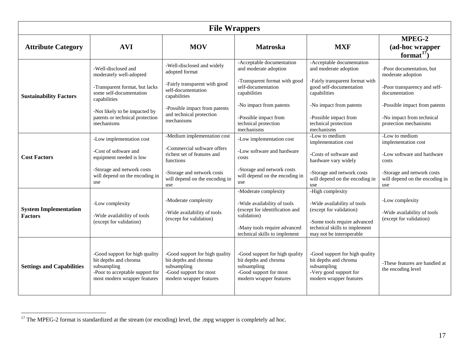<span id="page-16-1"></span><span id="page-16-0"></span>

| <b>File Wrappers</b>                           |                                                                                                                                                                                                               |                                                                                                                                                                                                |                                                                                                                                                                                                                     |                                                                                                                                                                                                                            |                                                                                                                                                                                       |
|------------------------------------------------|---------------------------------------------------------------------------------------------------------------------------------------------------------------------------------------------------------------|------------------------------------------------------------------------------------------------------------------------------------------------------------------------------------------------|---------------------------------------------------------------------------------------------------------------------------------------------------------------------------------------------------------------------|----------------------------------------------------------------------------------------------------------------------------------------------------------------------------------------------------------------------------|---------------------------------------------------------------------------------------------------------------------------------------------------------------------------------------|
| <b>Attribute Category</b>                      | <b>AVI</b>                                                                                                                                                                                                    | <b>MOV</b>                                                                                                                                                                                     | <b>Matroska</b>                                                                                                                                                                                                     | <b>MXF</b>                                                                                                                                                                                                                 | MPEG-2<br>(ad-hoc wrapper<br>format <sup>17</sup> )                                                                                                                                   |
| <b>Sustainability Factors</b>                  | -Well-disclosed and<br>moderately well-adopted<br>-Transparent format, but lacks<br>some self-documentation<br>capabilities<br>-Not likely to be impacted by<br>patents or technical protection<br>mechanisms | -Well-disclosed and widely<br>adopted format<br>-Fairly transparent with good<br>self-documentation<br>capabilities<br>-Possible impact from patents<br>and technical protection<br>mechanisms | -Acceptable documentation<br>and moderate adoption<br>-Transparent format with good<br>self-documentation<br>capabilities<br>-No impact from patents<br>-Possible impact from<br>technical protection<br>mechanisms | -Acceptable documentation<br>and moderate adoption<br>-Fairly transparent format with<br>good self-documentation<br>capabilities<br>-No impact from patents<br>-Possible impact from<br>technical protection<br>mechanisms | -Poor documentation, but<br>moderate adoption<br>-Poor transparency and self-<br>documentation<br>-Possible impact from patents<br>-No impact from technical<br>protection mechanisms |
| <b>Cost Factors</b>                            | -Low implementation cost<br>-Cost of software and<br>equipment needed is low<br>-Storage and network costs<br>will depend on the encoding in<br>use                                                           | -Medium implementation cost<br>-Commercial software offers<br>richest set of features and<br>functions<br>-Storage and network costs<br>will depend on the encoding in<br>use                  | -Low implementation cost<br>-Low software and hardware<br>costs<br>-Storage and network costs<br>will depend on the encoding in<br>use                                                                              | -Low to medium<br>implementation cost<br>-Costs of software and<br>hardware vary widely<br>-Storage and network costs<br>will depend on the encoding in<br>use                                                             | -Low to medium<br>implementation cost<br>-Low software and hardware<br>costs<br>-Storage and network costs<br>will depend on the encoding in<br>use                                   |
| <b>System Implementation</b><br><b>Factors</b> | -Low complexity<br>-Wide availability of tools<br>(except for validation)                                                                                                                                     | -Moderate complexity<br>-Wide availability of tools<br>(except for validation)                                                                                                                 | -Moderate complexity<br>-Wide availability of tools<br>(except for identification and<br>validation)<br>-Many tools require advanced<br>technical skills to implement                                               | -High complexity<br>-Wide availability of tools<br>(except for validation)<br>-Some tools require advanced<br>technical skills to implement<br>may not be interoperable                                                    | -Low complexity<br>-Wide availability of tools<br>(except for validation)                                                                                                             |
| <b>Settings and Capabilities</b>               | -Good support for high quality<br>bit depths and chroma<br>subsampling<br>-Poor to acceptable support for<br>most modern wrapper features                                                                     | -Good support for high quality<br>bit depths and chroma<br>subsampling<br>-Good support for most<br>modern wrapper features                                                                    | -Good support for high quality<br>bit depths and chroma<br>subsampling<br>-Good support for most<br>modern wrapper features                                                                                         | -Good support for high quality<br>bit depths and chroma<br>subsampling<br>-Very good support for<br>modern wrapper features                                                                                                | -These features are handled at<br>the encoding level                                                                                                                                  |

 $17$  The MPEG-2 format is standardized at the stream (or encoding) level, the .mpg wrapper is completely ad hoc.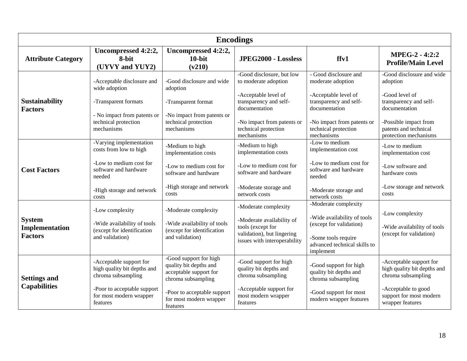<span id="page-17-0"></span>

| <b>Encodings</b>                                  |                                                                                                                                                       |                                                                                                                                                                        |                                                                                                                                                                                          |                                                                                                                                                                                   |                                                                                                                                                                               |
|---------------------------------------------------|-------------------------------------------------------------------------------------------------------------------------------------------------------|------------------------------------------------------------------------------------------------------------------------------------------------------------------------|------------------------------------------------------------------------------------------------------------------------------------------------------------------------------------------|-----------------------------------------------------------------------------------------------------------------------------------------------------------------------------------|-------------------------------------------------------------------------------------------------------------------------------------------------------------------------------|
| <b>Attribute Category</b>                         | Uncompressed 4:2:2,<br>8-bit<br>(UYVY and YUY2)                                                                                                       | Uncompressed 4:2:2,<br>$10$ -bit<br>(v210)                                                                                                                             | JPEG2000 - Lossless                                                                                                                                                                      | ffv1                                                                                                                                                                              | <b>MPEG-2 - 4:2:2</b><br><b>Profile/Main Level</b>                                                                                                                            |
| <b>Sustainability</b><br><b>Factors</b>           | -Acceptable disclosure and<br>wide adoption<br>-Transparent formats<br>- No impact from patents or<br>technical protection<br>mechanisms              | -Good disclosure and wide<br>adoption<br>-Transparent format<br>-No impact from patents or<br>technical protection<br>mechanisms                                       | -Good disclosure, but low<br>to moderate adoption<br>-Acceptable level of<br>transparency and self-<br>documentation<br>-No impact from patents or<br>technical protection<br>mechanisms | - Good disclosure and<br>moderate adoption<br>-Acceptable level of<br>transparency and self-<br>documentation<br>-No impact from patents or<br>technical protection<br>mechanisms | -Good disclosure and wide<br>adoption<br>-Good level of<br>transparency and self-<br>documentation<br>-Possible impact from<br>patents and technical<br>protection mechanisms |
| <b>Cost Factors</b>                               | -Varying implementation<br>costs from low to high<br>-Low to medium cost for<br>software and hardware<br>needed<br>-High storage and network<br>costs | -Medium to high<br>implementation costs<br>-Low to medium cost for<br>software and hardware<br>-High storage and network<br>costs                                      | -Medium to high<br>implementation costs<br>-Low to medium cost for<br>software and hardware<br>-Moderate storage and<br>network costs                                                    | -Low to medium<br>implementation cost<br>-Low to medium cost for<br>software and hardware<br>needed<br>-Moderate storage and<br>network costs                                     | -Low to medium<br>implementation cost<br>-Low software and<br>hardware costs<br>-Low storage and network<br>costs                                                             |
| <b>System</b><br>Implementation<br><b>Factors</b> | -Low complexity<br>-Wide availability of tools<br>(except for identification<br>and validation)                                                       | -Moderate complexity<br>-Wide availability of tools<br>(except for identification<br>and validation)                                                                   | -Moderate complexity<br>-Moderate availability of<br>tools (except for<br>validation), but lingering<br>issues with interoperability                                                     | -Moderate complexity<br>-Wide availability of tools<br>(except for validation)<br>-Some tools require<br>advanced technical skills to<br>implement                                | -Low complexity<br>-Wide availability of tools<br>(except for validation)                                                                                                     |
| <b>Settings and</b><br><b>Capabilities</b>        | -Acceptable support for<br>high quality bit depths and<br>chroma subsampling<br>-Poor to acceptable support<br>for most modern wrapper<br>features    | -Good support for high<br>quality bit depths and<br>acceptable support for<br>chroma subsampling<br>-Poor to acceptable support<br>for most modern wrapper<br>features | -Good support for high<br>quality bit depths and<br>chroma subsampling<br>-Acceptable support for<br>most modern wrapper<br>features                                                     | -Good support for high<br>quality bit depths and<br>chroma subsampling<br>-Good support for most<br>modern wrapper features                                                       | -Acceptable support for<br>high quality bit depths and<br>chroma subsampling<br>-Acceptable to good<br>support for most modern<br>wrapper features                            |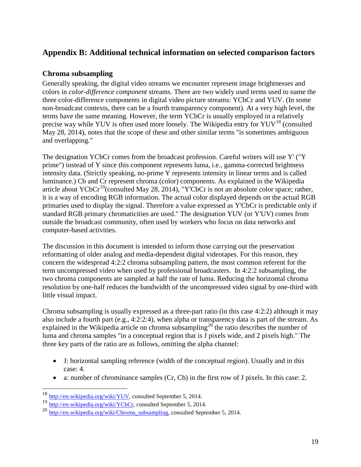## <span id="page-18-0"></span>**Appendix B: Additional technical information on selected comparison factors**

## <span id="page-18-1"></span>**Chroma subsampling**

Generally speaking, the digital video streams we encounter represent image brightnesses and colors in *color-difference component* streams. There are two widely used terms used to name the three color-difference components in digital video picture streams: YCbCr and YUV. (In some non-broadcast contexts, there can be a fourth transparency component). At a very high level, the terms have the same meaning. However, the term YCbCr is usually employed in a relatively precise way while YUV is often used more loosely. The Wikipedia entry for  $\text{YUV}^{18}$  $\text{YUV}^{18}$  $\text{YUV}^{18}$  (consulted May 28, 2014), notes that the scope of these and other similar terms "is sometimes ambiguous and overlapping."

The designation YCbCr comes from the broadcast profession. Careful writers will use Y' ("Y prime") instead of Y since this component represents luma, i.e., gamma-corrected brightness intensity data. (Strictly speaking, no-prime Y represents intensity in linear terms and is called luminance.) Cb and Cr represent chroma (color) components. As explained in the Wikipedia article about YCbCr<sup>19</sup>(consulted May 28, 2014), "Y'CbCr is not an absolute color space; rather, it is a way of encoding RGB information. The actual color displayed depends on the actual RGB primaries used to display the signal. Therefore a value expressed as Y'CbCr is predictable only if standard RGB primary chromaticities are used." The designation YUV (or Y'UV) comes from outside the broadcast community, often used by workers who focus on data networks and computer-based activities.

The discussion in this document is intended to inform those carrying out the preservation reformatting of older analog and media-dependent digital videotapes. For this reason, they concern the widespread 4:2:2 chroma subsampling pattern, the most common referent for the term uncompressed video when used by professional broadcasters. In 4:2:2 subsampling, the two chroma components are sampled at half the rate of luma. Reducing the horizontal chroma resolution by one-half reduces the bandwidth of the uncompressed video signal by one-third with little visual impact.

Chroma subsampling is usually expressed as a three-part ratio (in this case 4:2:2) although it may also include a fourth part (e.g., 4:2:2:4), when alpha or transparency data is part of the stream. As explained in the Wikipedia article on chroma subsampling<sup>[20](#page-18-4)</sup> the ratio describes the number of luma and chroma samples "in a conceptual region that is J pixels wide, and 2 pixels high." The three key parts of the ratio are as follows, omitting the alpha channel:

- J: horizontal sampling reference (width of the conceptual region). Usually and in this case: 4.
- a: number of chrominance samples (Cr, Cb) in the first row of J pixels. In this case: 2.

<span id="page-18-2"></span><sup>&</sup>lt;sup>18</sup> [http://en.wikipedia.org/wiki/YUV,](http://en.wikipedia.org/wiki/YUV) consulted September 5, 2014.

<sup>19</sup> [http://en.wikipedia.org/wiki/YCbCr,](http://en.wikipedia.org/wiki/YCbCr) consulted September 5, 2014.

<span id="page-18-4"></span><span id="page-18-3"></span><sup>20</sup> [http://en.wikipedia.org/wiki/Chroma\\_subsampling,](http://en.wikipedia.org/wiki/Chroma_subsampling) consulted September 5, 2014.